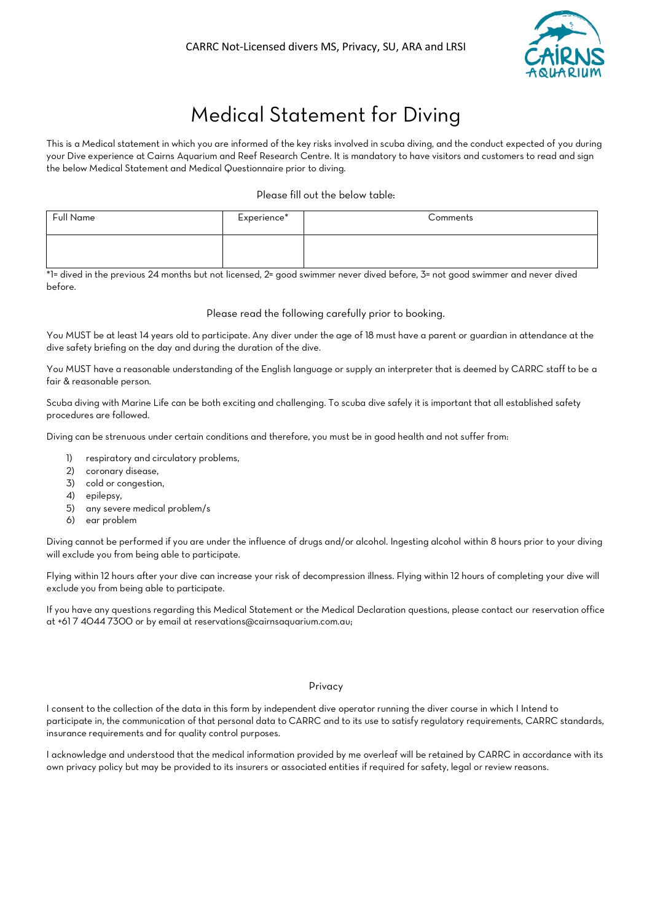

# Medical Statement for Diving

This is a Medical statement in which you are informed of the key risks involved in scuba diving, and the conduct expected of you during your Dive experience at Cairns Aquarium and Reef Research Centre. It is mandatory to have visitors and customers to read and sign the below Medical Statement and Medical Questionnaire prior to diving.

### Please fill out the below table:

| Full Name | Experience* | Comments |
|-----------|-------------|----------|
|           |             |          |

\*1= dived in the previous 24 months but not licensed, 2= good swimmer never dived before, 3= not good swimmer and never dived before.

#### Please read the following carefully prior to booking.

You MUST be at least 14 years old to participate. Any diver under the age of 18 must have a parent or guardian in attendance at the dive safety briefing on the day and during the duration of the dive.

You MUST have a reasonable understanding of the English language or supply an interpreter that is deemed by CARRC staff to be a fair & reasonable person.

Scuba diving with Marine Life can be both exciting and challenging. To scuba dive safely it is important that all established safety procedures are followed.

Diving can be strenuous under certain conditions and therefore, you must be in good health and not suffer from:

- 1) respiratory and circulatory problems,
- 2) coronary disease,
- 3) cold or congestion,
- 4) epilepsy,
- 5) any severe medical problem/s
- 6) ear problem

Diving cannot be performed if you are under the influence of drugs and/or alcohol. Ingesting alcohol within 8 hours prior to your diving will exclude you from being able to participate.

Flying within 12 hours after your dive can increase your risk of decompression illness. Flying within 12 hours of completing your dive will exclude you from being able to participate.

If you have any questions regarding this Medical Statement or the Medical Declaration questions, please contact our reservation office at [+61 7 4044 7300](tel:+61740447300) or by email a[t reservations@cairnsaquarium.com.au;](mailto:reservations@cairnsaquarium.com.au)

#### Privacy

I consent to the collection of the data in this form by independent dive operator running the diver course in which I Intend to participate in, the communication of that personal data to CARRC and to its use to satisfy regulatory requirements, CARRC standards, insurance requirements and for quality control purposes.

I acknowledge and understood that the medical information provided by me overleaf will be retained by CARRC in accordance with its own privacy policy but may be provided to its insurers or associated entities if required for safety, legal or review reasons.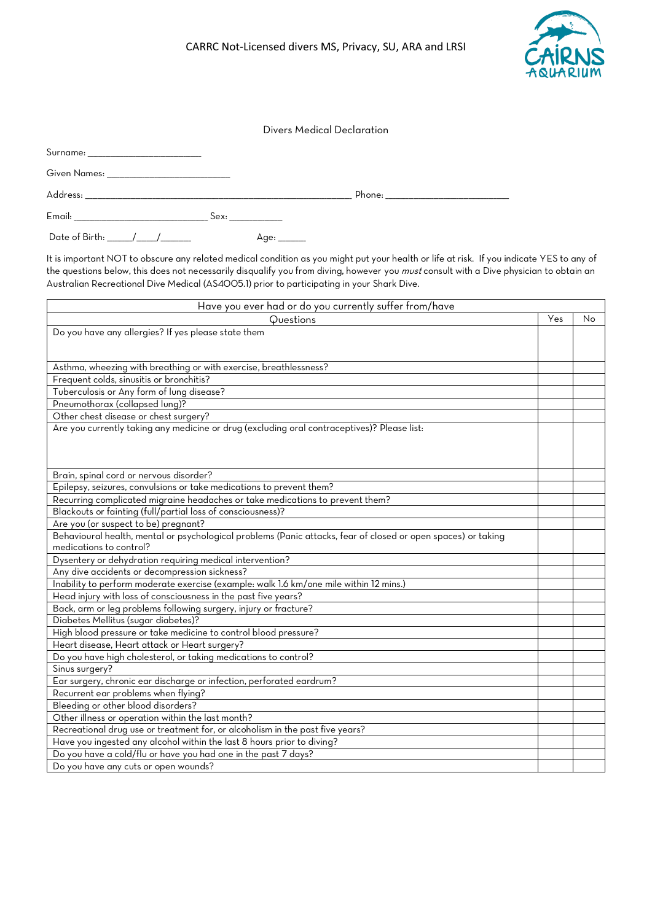

Surname: \_\_\_\_\_\_\_\_\_\_\_\_\_\_\_\_\_\_\_\_\_\_\_\_\_\_\_\_\_\_\_\_\_\_\_\_\_\_\_\_\_\_\_\_\_

Given Names: \_\_\_\_\_\_\_\_\_\_\_\_\_\_\_\_\_\_\_\_\_\_\_\_\_\_\_\_\_\_\_\_\_\_\_\_\_\_\_\_\_\_\_\_\_\_\_\_\_

| Δι<br>ul eppi | ___              | hone: |
|---------------|------------------|-------|
| Email:<br>--  | bex:<br>________ |       |

Date of Birth: \_\_\_\_\_\_\_\_\_\_/\_\_\_\_\_\_\_\_/\_\_\_\_\_\_\_\_\_\_\_\_ Age: \_\_\_\_\_\_\_\_\_\_\_

It is important NOT to obscure any related medical condition as you might put your health or life at risk. If you indicate YES to any of the questions below, this does not necessarily disqualify you from diving, however you *must* consult with a Dive physician to obtain an Australian Recreational Dive Medical (AS4005.1) prior to participating in your Shark Dive.

| Have you ever had or do you currently suffer from/have                                                        |     |    |
|---------------------------------------------------------------------------------------------------------------|-----|----|
| Questions                                                                                                     | Yes | No |
| Do you have any allergies? If yes please state them                                                           |     |    |
|                                                                                                               |     |    |
|                                                                                                               |     |    |
| Asthma, wheezing with breathing or with exercise, breathlessness?                                             |     |    |
| Frequent colds, sinusitis or bronchitis?                                                                      |     |    |
| Tuberculosis or Any form of lung disease?                                                                     |     |    |
| Pneumothorax (collapsed lung)?                                                                                |     |    |
| Other chest disease or chest surgery?                                                                         |     |    |
| Are you currently taking any medicine or drug (excluding oral contraceptives)? Please list:                   |     |    |
|                                                                                                               |     |    |
|                                                                                                               |     |    |
|                                                                                                               |     |    |
| Brain, spinal cord or nervous disorder?                                                                       |     |    |
| Epilepsy, seizures, convulsions or take medications to prevent them?                                          |     |    |
| Recurring complicated migraine headaches or take medications to prevent them?                                 |     |    |
| Blackouts or fainting (full/partial loss of consciousness)?                                                   |     |    |
| Are you (or suspect to be) pregnant?                                                                          |     |    |
| Behavioural health, mental or psychological problems (Panic attacks, fear of closed or open spaces) or taking |     |    |
| medications to control?                                                                                       |     |    |
| Dysentery or dehydration requiring medical intervention?                                                      |     |    |
| Any dive accidents or decompression sickness?                                                                 |     |    |
| Inability to perform moderate exercise (example: walk 1.6 km/one mile within 12 mins.)                        |     |    |
| Head injury with loss of consciousness in the past five years?                                                |     |    |
| Back, arm or leg problems following surgery, injury or fracture?                                              |     |    |
| Diabetes Mellitus (sugar diabetes)?                                                                           |     |    |
| High blood pressure or take medicine to control blood pressure?                                               |     |    |
| Heart disease, Heart attack or Heart surgery?                                                                 |     |    |
| Do you have high cholesterol, or taking medications to control?                                               |     |    |
| Sinus surgery?                                                                                                |     |    |
| Ear surgery, chronic ear discharge or infection, perforated eardrum?                                          |     |    |
| Recurrent ear problems when flying?                                                                           |     |    |
| Bleeding or other blood disorders?                                                                            |     |    |
| Other illness or operation within the last month?                                                             |     |    |
| Recreational drug use or treatment for, or alcoholism in the past five years?                                 |     |    |
| Have you ingested any alcohol within the last 8 hours prior to diving?                                        |     |    |
| Do you have a cold/flu or have you had one in the past 7 days?                                                |     |    |
| Do you have any cuts or open wounds?                                                                          |     |    |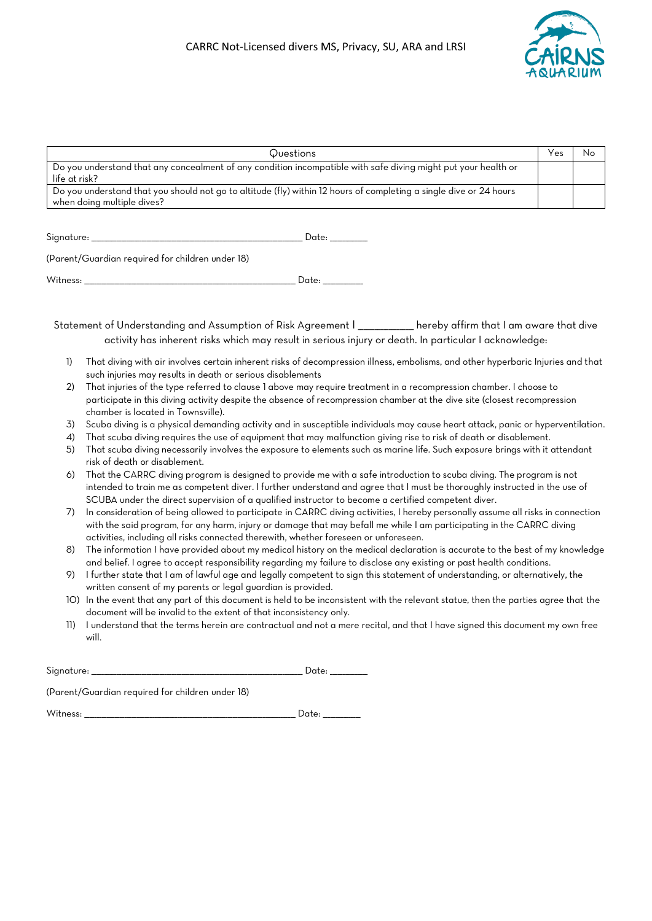

|                  | Questions                                                                                                                                                                                                                                                                                                                                                 | Yes | No |
|------------------|-----------------------------------------------------------------------------------------------------------------------------------------------------------------------------------------------------------------------------------------------------------------------------------------------------------------------------------------------------------|-----|----|
|                  | Do you understand that any concealment of any condition incompatible with safe diving might put your health or                                                                                                                                                                                                                                            |     |    |
| life at risk?    |                                                                                                                                                                                                                                                                                                                                                           |     |    |
|                  | Do you understand that you should not go to altitude (fly) within 12 hours of completing a single dive or 24 hours                                                                                                                                                                                                                                        |     |    |
|                  | when doing multiple dives?                                                                                                                                                                                                                                                                                                                                |     |    |
|                  |                                                                                                                                                                                                                                                                                                                                                           |     |    |
| Signature: _____ | Date: ________                                                                                                                                                                                                                                                                                                                                            |     |    |
|                  | (Parent/Guardian required for children under 18)                                                                                                                                                                                                                                                                                                          |     |    |
|                  | witness:                        Date:                                                                                                                                                                                                                                                                                                                     |     |    |
|                  |                                                                                                                                                                                                                                                                                                                                                           |     |    |
|                  | Statement of Understanding and Assumption of Risk Agreement I __________ hereby affirm that I am aware that dive<br>activity has inherent risks which may result in serious injury or death. In particular I acknowledge:                                                                                                                                 |     |    |
| <b>(T)</b>       | That diving with air involves certain inherent risks of decompression illness, embolisms, and other hyperbaric Injuries and that<br>such injuries may results in death or serious disablements                                                                                                                                                            |     |    |
| 2)               | That injuries of the type referred to clause I above may require treatment in a recompression chamber. I choose to<br>participate in this diving activity despite the absence of recompression chamber at the dive site (closest recompression<br>chamber is located in Townsville).                                                                      |     |    |
| 3)               | Scuba diving is a physical demanding activity and in susceptible individuals may cause heart attack, panic or hyperventilation.                                                                                                                                                                                                                           |     |    |
| $\overline{A}$   | That scuba diving requires the use of equipment that may malfunction giving rise to risk of death or disablement.                                                                                                                                                                                                                                         |     |    |
| 5)               | That scuba diving necessarily involves the exposure to elements such as marine life. Such exposure brings with it attendant<br>risk of death or disablement.                                                                                                                                                                                              |     |    |
| 6)               | That the CARRC diving program is designed to provide me with a safe introduction to scuba diving. The program is not<br>intended to train me as competent diver. I further understand and agree that I must be thoroughly instructed in the use of<br>SCUBA under the direct supervision of a qualified instructor to become a certified competent diver. |     |    |
| 7)               | In consideration of being allowed to participate in CARRC diving activities, I hereby personally assume all risks in connection<br>with the said program, for any harm, injury or damage that may befall me while I am participating in the CARRC diving<br>activities, including all risks connected therewith, whether foreseen or unforeseen.          |     |    |
| 8)               | The information I have provided about my medical history on the medical declaration is accurate to the best of my knowledge<br>and belief. I agree to accept responsibility regarding my failure to disclose any existing or past health conditions.                                                                                                      |     |    |
| 9)               | I further state that I am of lawful age and legally competent to sign this statement of understanding, or alternatively, the<br>written consent of my parents or legal guardian is provided.                                                                                                                                                              |     |    |
|                  | 10) In the event that any part of this document is held to be inconsistent with the relevant statue, then the parties agree that the<br>document will be invalid to the extent of that inconsistency only.                                                                                                                                                |     |    |
| 11)              | I understand that the terms herein are contractual and not a mere recital, and that I have signed this document my own free<br>will.                                                                                                                                                                                                                      |     |    |

| Signature: |  |  |
|------------|--|--|
|            |  |  |

(Parent/Guardian required for children under 18)

Witness: \_\_\_\_\_\_\_\_\_\_\_\_\_\_\_\_\_\_\_\_\_\_\_\_\_\_\_\_\_\_\_\_\_\_\_\_\_\_\_\_\_\_\_\_\_\_\_\_\_\_\_\_\_\_\_\_\_\_\_\_\_\_\_\_\_\_\_\_\_\_\_\_\_\_\_\_\_\_\_\_\_\_\_\_ Date: \_\_\_\_\_\_\_\_\_\_\_\_\_\_\_